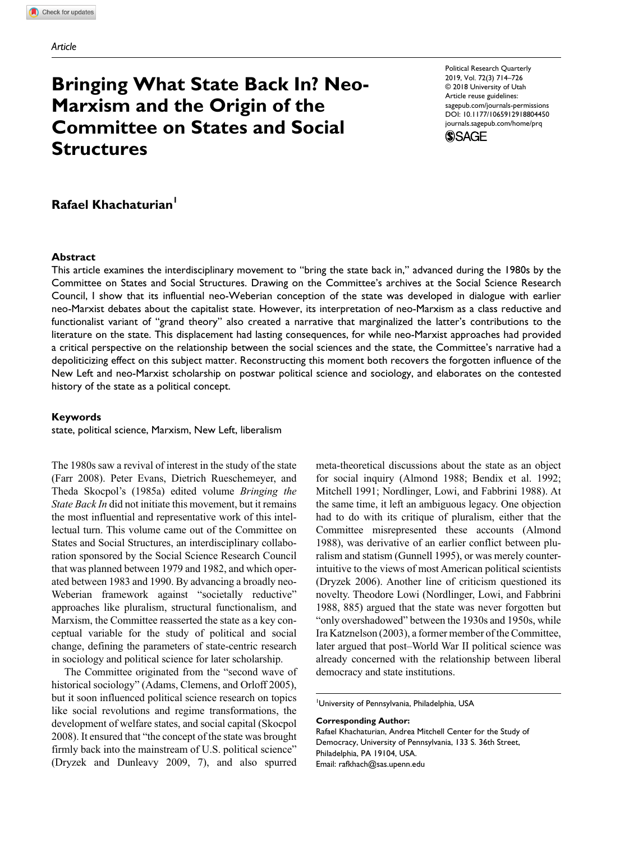# **Bringing What State Back In? Neo-Marxism and the Origin of the Committee on States and Social Structures**

https://doi.org/10.1177/1065912918804450 DOI: 10.1177/1065912918804450 Political Research Quarterly 2019, Vol. 72(3) 714–726 © 2018 University of Utah Article reuse guidelines: [sagepub.com/journals-permissions](https://us.sagepub.com/en-us/journals-permissions) [journals.sagepub.com/home/prq](https://journals.sagepub.com/home/prq)



## **Rafael Khachaturian**

## **Abstract**

This article examines the interdisciplinary movement to "bring the state back in," advanced during the 1980s by the Committee on States and Social Structures. Drawing on the Committee's archives at the Social Science Research Council, I show that its influential neo-Weberian conception of the state was developed in dialogue with earlier neo-Marxist debates about the capitalist state. However, its interpretation of neo-Marxism as a class reductive and functionalist variant of "grand theory" also created a narrative that marginalized the latter's contributions to the literature on the state. This displacement had lasting consequences, for while neo-Marxist approaches had provided a critical perspective on the relationship between the social sciences and the state, the Committee's narrative had a depoliticizing effect on this subject matter. Reconstructing this moment both recovers the forgotten influence of the New Left and neo-Marxist scholarship on postwar political science and sociology, and elaborates on the contested history of the state as a political concept.

## **Keywords**

state, political science, Marxism, New Left, liberalism

The 1980s saw a revival of interest in the study of the state (Farr 2008). Peter Evans, Dietrich Rueschemeyer, and Theda Skocpol's (1985a) edited volume *Bringing the State Back In* did not initiate this movement, but it remains the most influential and representative work of this intellectual turn. This volume came out of the Committee on States and Social Structures, an interdisciplinary collaboration sponsored by the Social Science Research Council that was planned between 1979 and 1982, and which operated between 1983 and 1990. By advancing a broadly neo-Weberian framework against "societally reductive" approaches like pluralism, structural functionalism, and Marxism, the Committee reasserted the state as a key conceptual variable for the study of political and social change, defining the parameters of state-centric research in sociology and political science for later scholarship.

The Committee originated from the "second wave of historical sociology" (Adams, Clemens, and Orloff 2005), but it soon influenced political science research on topics like social revolutions and regime transformations, the development of welfare states, and social capital (Skocpol 2008). It ensured that "the concept of the state was brought firmly back into the mainstream of U.S. political science" (Dryzek and Dunleavy 2009, 7), and also spurred

meta-theoretical discussions about the state as an object for social inquiry (Almond 1988; Bendix et al. 1992; Mitchell 1991; Nordlinger, Lowi, and Fabbrini 1988). At the same time, it left an ambiguous legacy. One objection had to do with its critique of pluralism, either that the Committee misrepresented these accounts (Almond 1988), was derivative of an earlier conflict between pluralism and statism (Gunnell 1995), or was merely counterintuitive to the views of most American political scientists (Dryzek 2006). Another line of criticism questioned its novelty. Theodore Lowi (Nordlinger, Lowi, and Fabbrini 1988, 885) argued that the state was never forgotten but "only overshadowed" between the 1930s and 1950s, while Ira Katznelson (2003), a former member of the Committee, later argued that post–World War II political science was already concerned with the relationship between liberal democracy and state institutions.

1 University of Pennsylvania, Philadelphia, USA

**Corresponding Author:**

Rafael Khachaturian, Andrea Mitchell Center for the Study of Democracy, University of Pennsylvania, 133 S. 36th Street, Philadelphia, PA 19104, USA. Email: [rafkhach@sas.upenn.edu](mailto:rafkhach@sas.upenn.edu)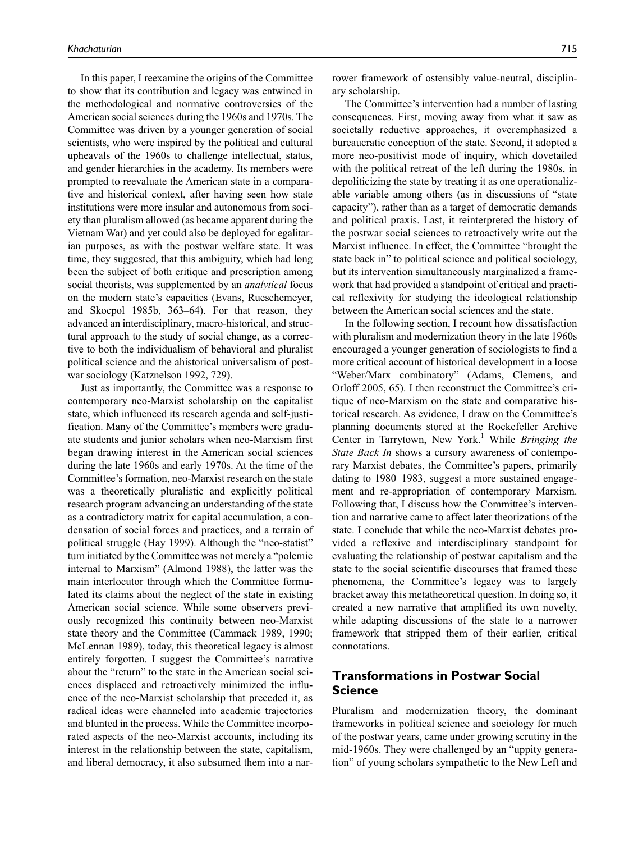In this paper, I reexamine the origins of the Committee to show that its contribution and legacy was entwined in the methodological and normative controversies of the American social sciences during the 1960s and 1970s. The Committee was driven by a younger generation of social scientists, who were inspired by the political and cultural upheavals of the 1960s to challenge intellectual, status, and gender hierarchies in the academy. Its members were prompted to reevaluate the American state in a comparative and historical context, after having seen how state institutions were more insular and autonomous from society than pluralism allowed (as became apparent during the Vietnam War) and yet could also be deployed for egalitarian purposes, as with the postwar welfare state. It was time, they suggested, that this ambiguity, which had long been the subject of both critique and prescription among social theorists, was supplemented by an *analytical* focus on the modern state's capacities (Evans, Rueschemeyer, and Skocpol 1985b, 363–64). For that reason, they advanced an interdisciplinary, macro-historical, and structural approach to the study of social change, as a corrective to both the individualism of behavioral and pluralist political science and the ahistorical universalism of postwar sociology (Katznelson 1992, 729).

Just as importantly, the Committee was a response to contemporary neo-Marxist scholarship on the capitalist state, which influenced its research agenda and self-justification. Many of the Committee's members were graduate students and junior scholars when neo-Marxism first began drawing interest in the American social sciences during the late 1960s and early 1970s. At the time of the Committee's formation, neo-Marxist research on the state was a theoretically pluralistic and explicitly political research program advancing an understanding of the state as a contradictory matrix for capital accumulation, a condensation of social forces and practices, and a terrain of political struggle (Hay 1999). Although the "neo-statist" turn initiated by the Committee was not merely a "polemic internal to Marxism" (Almond 1988), the latter was the main interlocutor through which the Committee formulated its claims about the neglect of the state in existing American social science. While some observers previously recognized this continuity between neo-Marxist state theory and the Committee (Cammack 1989, 1990; McLennan 1989), today, this theoretical legacy is almost entirely forgotten. I suggest the Committee's narrative about the "return" to the state in the American social sciences displaced and retroactively minimized the influence of the neo-Marxist scholarship that preceded it, as radical ideas were channeled into academic trajectories and blunted in the process. While the Committee incorporated aspects of the neo-Marxist accounts, including its interest in the relationship between the state, capitalism, and liberal democracy, it also subsumed them into a narrower framework of ostensibly value-neutral, disciplinary scholarship.

The Committee's intervention had a number of lasting consequences. First, moving away from what it saw as societally reductive approaches, it overemphasized a bureaucratic conception of the state. Second, it adopted a more neo-positivist mode of inquiry, which dovetailed with the political retreat of the left during the 1980s, in depoliticizing the state by treating it as one operationalizable variable among others (as in discussions of "state capacity"), rather than as a target of democratic demands and political praxis. Last, it reinterpreted the history of the postwar social sciences to retroactively write out the Marxist influence. In effect, the Committee "brought the state back in" to political science and political sociology, but its intervention simultaneously marginalized a framework that had provided a standpoint of critical and practical reflexivity for studying the ideological relationship between the American social sciences and the state.

In the following section, I recount how dissatisfaction with pluralism and modernization theory in the late 1960s encouraged a younger generation of sociologists to find a more critical account of historical development in a loose "Weber/Marx combinatory" (Adams, Clemens, and Orloff 2005, 65). I then reconstruct the Committee's critique of neo-Marxism on the state and comparative historical research. As evidence, I draw on the Committee's planning documents stored at the Rockefeller Archive Center in Tarrytown, New York.<sup>1</sup> While *Bringing the State Back In* shows a cursory awareness of contemporary Marxist debates, the Committee's papers, primarily dating to 1980–1983, suggest a more sustained engagement and re-appropriation of contemporary Marxism. Following that, I discuss how the Committee's intervention and narrative came to affect later theorizations of the state. I conclude that while the neo-Marxist debates provided a reflexive and interdisciplinary standpoint for evaluating the relationship of postwar capitalism and the state to the social scientific discourses that framed these phenomena, the Committee's legacy was to largely bracket away this metatheoretical question. In doing so, it created a new narrative that amplified its own novelty, while adapting discussions of the state to a narrower framework that stripped them of their earlier, critical connotations.

## **Transformations in Postwar Social Science**

Pluralism and modernization theory, the dominant frameworks in political science and sociology for much of the postwar years, came under growing scrutiny in the mid-1960s. They were challenged by an "uppity generation" of young scholars sympathetic to the New Left and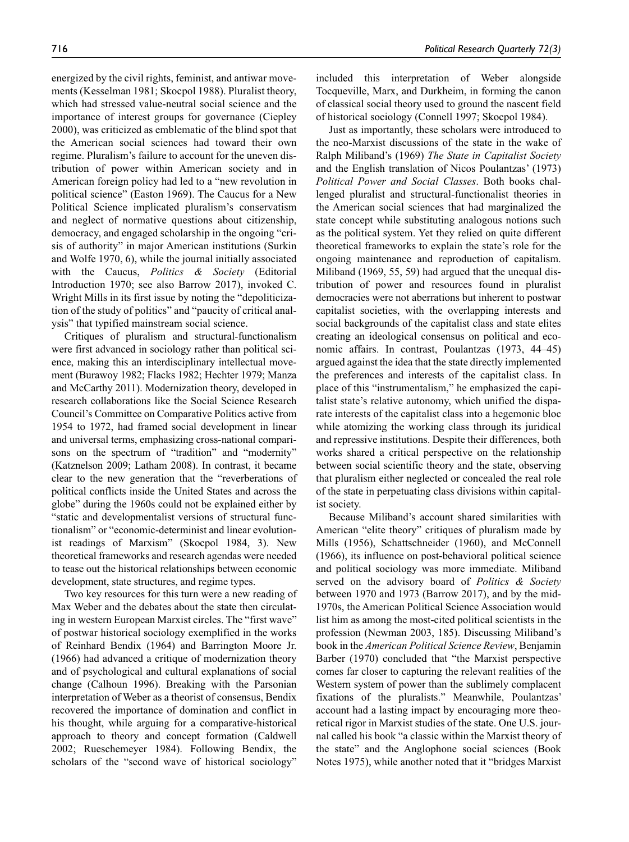energized by the civil rights, feminist, and antiwar movements (Kesselman 1981; Skocpol 1988). Pluralist theory, which had stressed value-neutral social science and the importance of interest groups for governance (Ciepley 2000), was criticized as emblematic of the blind spot that the American social sciences had toward their own regime. Pluralism's failure to account for the uneven distribution of power within American society and in American foreign policy had led to a "new revolution in political science" (Easton 1969). The Caucus for a New Political Science implicated pluralism's conservatism and neglect of normative questions about citizenship, democracy, and engaged scholarship in the ongoing "crisis of authority" in major American institutions (Surkin and Wolfe 1970, 6), while the journal initially associated with the Caucus, *Politics & Society* (Editorial Introduction 1970; see also Barrow 2017), invoked C. Wright Mills in its first issue by noting the "depoliticization of the study of politics" and "paucity of critical analysis" that typified mainstream social science.

Critiques of pluralism and structural-functionalism were first advanced in sociology rather than political science, making this an interdisciplinary intellectual movement (Burawoy 1982; Flacks 1982; Hechter 1979; Manza and McCarthy 2011). Modernization theory, developed in research collaborations like the Social Science Research Council's Committee on Comparative Politics active from 1954 to 1972, had framed social development in linear and universal terms, emphasizing cross-national comparisons on the spectrum of "tradition" and "modernity" (Katznelson 2009; Latham 2008). In contrast, it became clear to the new generation that the "reverberations of political conflicts inside the United States and across the globe" during the 1960s could not be explained either by "static and developmentalist versions of structural functionalism" or "economic-determinist and linear evolutionist readings of Marxism" (Skocpol 1984, 3). New theoretical frameworks and research agendas were needed to tease out the historical relationships between economic development, state structures, and regime types.

Two key resources for this turn were a new reading of Max Weber and the debates about the state then circulating in western European Marxist circles. The "first wave" of postwar historical sociology exemplified in the works of Reinhard Bendix (1964) and Barrington Moore Jr. (1966) had advanced a critique of modernization theory and of psychological and cultural explanations of social change (Calhoun 1996). Breaking with the Parsonian interpretation of Weber as a theorist of consensus, Bendix recovered the importance of domination and conflict in his thought, while arguing for a comparative-historical approach to theory and concept formation (Caldwell 2002; Rueschemeyer 1984). Following Bendix, the scholars of the "second wave of historical sociology" included this interpretation of Weber alongside Tocqueville, Marx, and Durkheim, in forming the canon of classical social theory used to ground the nascent field of historical sociology (Connell 1997; Skocpol 1984).

Just as importantly, these scholars were introduced to the neo-Marxist discussions of the state in the wake of Ralph Miliband's (1969) *The State in Capitalist Society* and the English translation of Nicos Poulantzas' (1973) *Political Power and Social Classes*. Both books challenged pluralist and structural-functionalist theories in the American social sciences that had marginalized the state concept while substituting analogous notions such as the political system. Yet they relied on quite different theoretical frameworks to explain the state's role for the ongoing maintenance and reproduction of capitalism. Miliband (1969, 55, 59) had argued that the unequal distribution of power and resources found in pluralist democracies were not aberrations but inherent to postwar capitalist societies, with the overlapping interests and social backgrounds of the capitalist class and state elites creating an ideological consensus on political and economic affairs. In contrast, Poulantzas (1973, 44–45) argued against the idea that the state directly implemented the preferences and interests of the capitalist class. In place of this "instrumentalism," he emphasized the capitalist state's relative autonomy, which unified the disparate interests of the capitalist class into a hegemonic bloc while atomizing the working class through its juridical and repressive institutions. Despite their differences, both works shared a critical perspective on the relationship between social scientific theory and the state, observing that pluralism either neglected or concealed the real role of the state in perpetuating class divisions within capitalist society.

Because Miliband's account shared similarities with American "elite theory" critiques of pluralism made by Mills (1956), Schattschneider (1960), and McConnell (1966), its influence on post-behavioral political science and political sociology was more immediate. Miliband served on the advisory board of *Politics & Society* between 1970 and 1973 (Barrow 2017), and by the mid-1970s, the American Political Science Association would list him as among the most-cited political scientists in the profession (Newman 2003, 185). Discussing Miliband's book in the *American Political Science Review*, Benjamin Barber (1970) concluded that "the Marxist perspective comes far closer to capturing the relevant realities of the Western system of power than the sublimely complacent fixations of the pluralists." Meanwhile, Poulantzas' account had a lasting impact by encouraging more theoretical rigor in Marxist studies of the state. One U.S. journal called his book "a classic within the Marxist theory of the state" and the Anglophone social sciences (Book Notes 1975), while another noted that it "bridges Marxist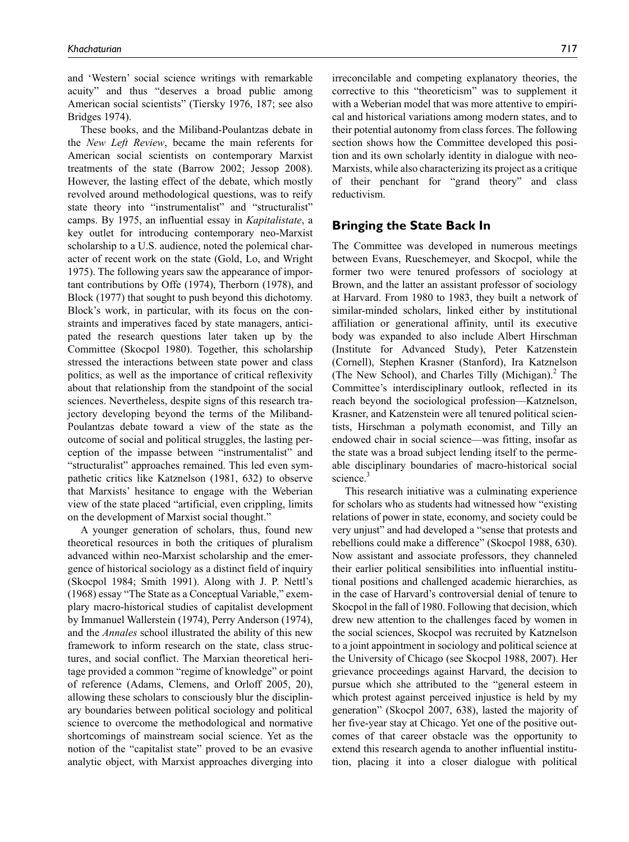and 'Western' social science writings with remarkable acuity" and thus "deserves a broad public among American social scientists" (Tiersky 1976, 187; see also Bridges 1974).

These books, and the Miliband-Poulantzas debate in the *New Left Review*, became the main referents for American social scientists on contemporary Marxist treatments of the state (Barrow 2002; Jessop 2008). However, the lasting effect of the debate, which mostly revolved around methodological questions, was to reify state theory into "instrumentalist" and "structuralist" camps. By 1975, an influential essay in *Kapitalistate*, a key outlet for introducing contemporary neo-Marxist scholarship to a U.S. audience, noted the polemical character of recent work on the state (Gold, Lo, and Wright 1975). The following years saw the appearance of important contributions by Offe (1974), Therborn (1978), and Block (1977) that sought to push beyond this dichotomy. Block's work, in particular, with its focus on the constraints and imperatives faced by state managers, anticipated the research questions later taken up by the Committee (Skocpol 1980). Together, this scholarship stressed the interactions between state power and class politics, as well as the importance of critical reflexivity about that relationship from the standpoint of the social sciences. Nevertheless, despite signs of this research trajectory developing beyond the terms of the Miliband-Poulantzas debate toward a view of the state as the outcome of social and political struggles, the lasting perception of the impasse between "instrumentalist" and "structuralist" approaches remained. This led even sympathetic critics like Katznelson (1981, 632) to observe that Marxists' hesitance to engage with the Weberian view of the state placed "artificial, even crippling, limits on the development of Marxist social thought."

A younger generation of scholars, thus, found new theoretical resources in both the critiques of pluralism advanced within neo-Marxist scholarship and the emergence of historical sociology as a distinct field of inquiry (Skocpol 1984; Smith 1991). Along with J. P. Nettl's (1968) essay "The State as a Conceptual Variable," exemplary macro-historical studies of capitalist development by Immanuel Wallerstein (1974), Perry Anderson (1974), and the *Annales* school illustrated the ability of this new framework to inform research on the state, class structures, and social conflict. The Marxian theoretical heritage provided a common "regime of knowledge" or point of reference (Adams, Clemens, and Orloff 2005, 20), allowing these scholars to consciously blur the disciplinary boundaries between political sociology and political science to overcome the methodological and normative shortcomings of mainstream social science. Yet as the notion of the "capitalist state" proved to be an evasive analytic object, with Marxist approaches diverging into

irreconcilable and competing explanatory theories, the corrective to this "theoreticism" was to supplement it with a Weberian model that was more attentive to empirical and historical variations among modern states, and to their potential autonomy from class forces. The following section shows how the Committee developed this position and its own scholarly identity in dialogue with neo-Marxists, while also characterizing its project as a critique of their penchant for "grand theory" and class reductivism.

## **Bringing the State Back In**

The Committee was developed in numerous meetings between Evans, Rueschemeyer, and Skocpol, while the former two were tenured professors of sociology at Brown, and the latter an assistant professor of sociology at Harvard. From 1980 to 1983, they built a network of similar-minded scholars, linked either by institutional affiliation or generational affinity, until its executive body was expanded to also include Albert Hirschman (Institute for Advanced Study), Peter Katzenstein (Cornell), Stephen Krasner (Stanford), Ira Katznelson (The New School), and Charles Tilly (Michigan). $^2$  The Committee's interdisciplinary outlook, reflected in its reach beyond the sociological profession—Katznelson, Krasner, and Katzenstein were all tenured political scientists, Hirschman a polymath economist, and Tilly an endowed chair in social science—was fitting, insofar as the state was a broad subject lending itself to the permeable disciplinary boundaries of macro-historical social science.<sup>3</sup>

This research initiative was a culminating experience for scholars who as students had witnessed how "existing relations of power in state, economy, and society could be very unjust" and had developed a "sense that protests and rebellions could make a difference" (Skocpol 1988, 630). Now assistant and associate professors, they channeled their earlier political sensibilities into influential institutional positions and challenged academic hierarchies, as in the case of Harvard's controversial denial of tenure to Skocpol in the fall of 1980. Following that decision, which drew new attention to the challenges faced by women in the social sciences, Skocpol was recruited by Katznelson to a joint appointment in sociology and political science at the University of Chicago (see Skocpol 1988, 2007). Her grievance proceedings against Harvard, the decision to pursue which she attributed to the "general esteem in which protest against perceived injustice is held by my generation" (Skocpol 2007, 638), lasted the majority of her five-year stay at Chicago. Yet one of the positive outcomes of that career obstacle was the opportunity to extend this research agenda to another influential institution, placing it into a closer dialogue with political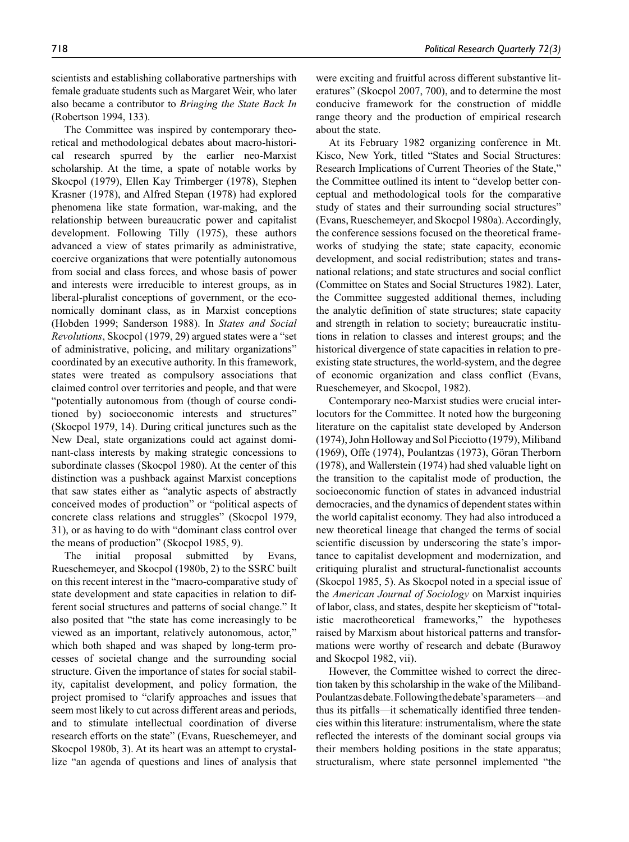scientists and establishing collaborative partnerships with female graduate students such as Margaret Weir, who later also became a contributor to *Bringing the State Back In* (Robertson 1994, 133).

The Committee was inspired by contemporary theoretical and methodological debates about macro-historical research spurred by the earlier neo-Marxist scholarship. At the time, a spate of notable works by Skocpol (1979), Ellen Kay Trimberger (1978), Stephen Krasner (1978), and Alfred Stepan (1978) had explored phenomena like state formation, war-making, and the relationship between bureaucratic power and capitalist development. Following Tilly (1975), these authors advanced a view of states primarily as administrative, coercive organizations that were potentially autonomous from social and class forces, and whose basis of power and interests were irreducible to interest groups, as in liberal-pluralist conceptions of government, or the economically dominant class, as in Marxist conceptions (Hobden 1999; Sanderson 1988). In *States and Social Revolutions*, Skocpol (1979, 29) argued states were a "set of administrative, policing, and military organizations" coordinated by an executive authority. In this framework, states were treated as compulsory associations that claimed control over territories and people, and that were "potentially autonomous from (though of course conditioned by) socioeconomic interests and structures" (Skocpol 1979, 14). During critical junctures such as the New Deal, state organizations could act against dominant-class interests by making strategic concessions to subordinate classes (Skocpol 1980). At the center of this distinction was a pushback against Marxist conceptions that saw states either as "analytic aspects of abstractly conceived modes of production" or "political aspects of concrete class relations and struggles" (Skocpol 1979, 31), or as having to do with "dominant class control over the means of production" (Skocpol 1985, 9).

The initial proposal submitted by Evans, Rueschemeyer, and Skocpol (1980b, 2) to the SSRC built on this recent interest in the "macro-comparative study of state development and state capacities in relation to different social structures and patterns of social change." It also posited that "the state has come increasingly to be viewed as an important, relatively autonomous, actor," which both shaped and was shaped by long-term processes of societal change and the surrounding social structure. Given the importance of states for social stability, capitalist development, and policy formation, the project promised to "clarify approaches and issues that seem most likely to cut across different areas and periods, and to stimulate intellectual coordination of diverse research efforts on the state" (Evans, Rueschemeyer, and Skocpol 1980b, 3). At its heart was an attempt to crystallize "an agenda of questions and lines of analysis that were exciting and fruitful across different substantive literatures" (Skocpol 2007, 700), and to determine the most conducive framework for the construction of middle range theory and the production of empirical research about the state.

At its February 1982 organizing conference in Mt. Kisco, New York, titled "States and Social Structures: Research Implications of Current Theories of the State," the Committee outlined its intent to "develop better conceptual and methodological tools for the comparative study of states and their surrounding social structures" (Evans, Rueschemeyer, and Skocpol 1980a). Accordingly, the conference sessions focused on the theoretical frameworks of studying the state; state capacity, economic development, and social redistribution; states and transnational relations; and state structures and social conflict (Committee on States and Social Structures 1982). Later, the Committee suggested additional themes, including the analytic definition of state structures; state capacity and strength in relation to society; bureaucratic institutions in relation to classes and interest groups; and the historical divergence of state capacities in relation to preexisting state structures, the world-system, and the degree of economic organization and class conflict (Evans, Rueschemeyer, and Skocpol, 1982).

Contemporary neo-Marxist studies were crucial interlocutors for the Committee. It noted how the burgeoning literature on the capitalist state developed by Anderson (1974), John Holloway and Sol Picciotto (1979), Miliband (1969), Offe (1974), Poulantzas (1973), Göran Therborn (1978), and Wallerstein (1974) had shed valuable light on the transition to the capitalist mode of production, the socioeconomic function of states in advanced industrial democracies, and the dynamics of dependent states within the world capitalist economy. They had also introduced a new theoretical lineage that changed the terms of social scientific discussion by underscoring the state's importance to capitalist development and modernization, and critiquing pluralist and structural-functionalist accounts (Skocpol 1985, 5). As Skocpol noted in a special issue of the *American Journal of Sociology* on Marxist inquiries of labor, class, and states, despite her skepticism of "totalistic macrotheoretical frameworks," the hypotheses raised by Marxism about historical patterns and transformations were worthy of research and debate (Burawoy and Skocpol 1982, vii).

However, the Committee wished to correct the direction taken by this scholarship in the wake of the Miliband-Poulantzas debate. Following the debate's parameters—and thus its pitfalls—it schematically identified three tendencies within this literature: instrumentalism, where the state reflected the interests of the dominant social groups via their members holding positions in the state apparatus; structuralism, where state personnel implemented "the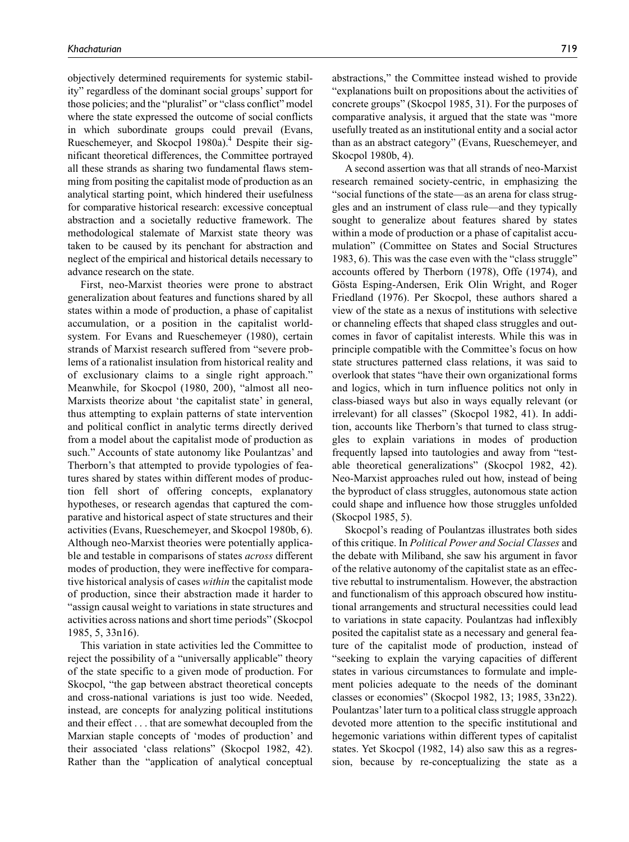objectively determined requirements for systemic stability" regardless of the dominant social groups' support for those policies; and the "pluralist" or "class conflict" model where the state expressed the outcome of social conflicts in which subordinate groups could prevail (Evans, Rueschemeyer, and Skocpol 1980a).<sup>4</sup> Despite their significant theoretical differences, the Committee portrayed all these strands as sharing two fundamental flaws stemming from positing the capitalist mode of production as an analytical starting point, which hindered their usefulness for comparative historical research: excessive conceptual abstraction and a societally reductive framework. The methodological stalemate of Marxist state theory was taken to be caused by its penchant for abstraction and neglect of the empirical and historical details necessary to advance research on the state.

First, neo-Marxist theories were prone to abstract generalization about features and functions shared by all states within a mode of production, a phase of capitalist accumulation, or a position in the capitalist worldsystem. For Evans and Rueschemeyer (1980), certain strands of Marxist research suffered from "severe problems of a rationalist insulation from historical reality and of exclusionary claims to a single right approach." Meanwhile, for Skocpol (1980, 200), "almost all neo-Marxists theorize about 'the capitalist state' in general, thus attempting to explain patterns of state intervention and political conflict in analytic terms directly derived from a model about the capitalist mode of production as such." Accounts of state autonomy like Poulantzas' and Therborn's that attempted to provide typologies of features shared by states within different modes of production fell short of offering concepts, explanatory hypotheses, or research agendas that captured the comparative and historical aspect of state structures and their activities (Evans, Rueschemeyer, and Skocpol 1980b, 6). Although neo-Marxist theories were potentially applicable and testable in comparisons of states *across* different modes of production, they were ineffective for comparative historical analysis of cases *within* the capitalist mode of production, since their abstraction made it harder to "assign causal weight to variations in state structures and activities across nations and short time periods" (Skocpol 1985, 5, 33n16).

This variation in state activities led the Committee to reject the possibility of a "universally applicable" theory of the state specific to a given mode of production. For Skocpol, "the gap between abstract theoretical concepts and cross-national variations is just too wide. Needed, instead, are concepts for analyzing political institutions and their effect . . . that are somewhat decoupled from the Marxian staple concepts of 'modes of production' and their associated 'class relations" (Skocpol 1982, 42). Rather than the "application of analytical conceptual abstractions," the Committee instead wished to provide "explanations built on propositions about the activities of concrete groups" (Skocpol 1985, 31). For the purposes of comparative analysis, it argued that the state was "more usefully treated as an institutional entity and a social actor than as an abstract category" (Evans, Rueschemeyer, and Skocpol 1980b, 4).

A second assertion was that all strands of neo-Marxist research remained society-centric, in emphasizing the "social functions of the state—as an arena for class struggles and an instrument of class rule—and they typically sought to generalize about features shared by states within a mode of production or a phase of capitalist accumulation" (Committee on States and Social Structures 1983, 6). This was the case even with the "class struggle" accounts offered by Therborn (1978), Offe (1974), and Gösta Esping-Andersen, Erik Olin Wright, and Roger Friedland (1976). Per Skocpol, these authors shared a view of the state as a nexus of institutions with selective or channeling effects that shaped class struggles and outcomes in favor of capitalist interests. While this was in principle compatible with the Committee's focus on how state structures patterned class relations, it was said to overlook that states "have their own organizational forms and logics, which in turn influence politics not only in class-biased ways but also in ways equally relevant (or irrelevant) for all classes" (Skocpol 1982, 41). In addition, accounts like Therborn's that turned to class struggles to explain variations in modes of production frequently lapsed into tautologies and away from "testable theoretical generalizations" (Skocpol 1982, 42). Neo-Marxist approaches ruled out how, instead of being the byproduct of class struggles, autonomous state action could shape and influence how those struggles unfolded (Skocpol 1985, 5).

Skocpol's reading of Poulantzas illustrates both sides of this critique. In *Political Power and Social Classes* and the debate with Miliband, she saw his argument in favor of the relative autonomy of the capitalist state as an effective rebuttal to instrumentalism. However, the abstraction and functionalism of this approach obscured how institutional arrangements and structural necessities could lead to variations in state capacity. Poulantzas had inflexibly posited the capitalist state as a necessary and general feature of the capitalist mode of production, instead of "seeking to explain the varying capacities of different states in various circumstances to formulate and implement policies adequate to the needs of the dominant classes or economies" (Skocpol 1982, 13; 1985, 33n22). Poulantzas' later turn to a political class struggle approach devoted more attention to the specific institutional and hegemonic variations within different types of capitalist states. Yet Skocpol (1982, 14) also saw this as a regression, because by re-conceptualizing the state as a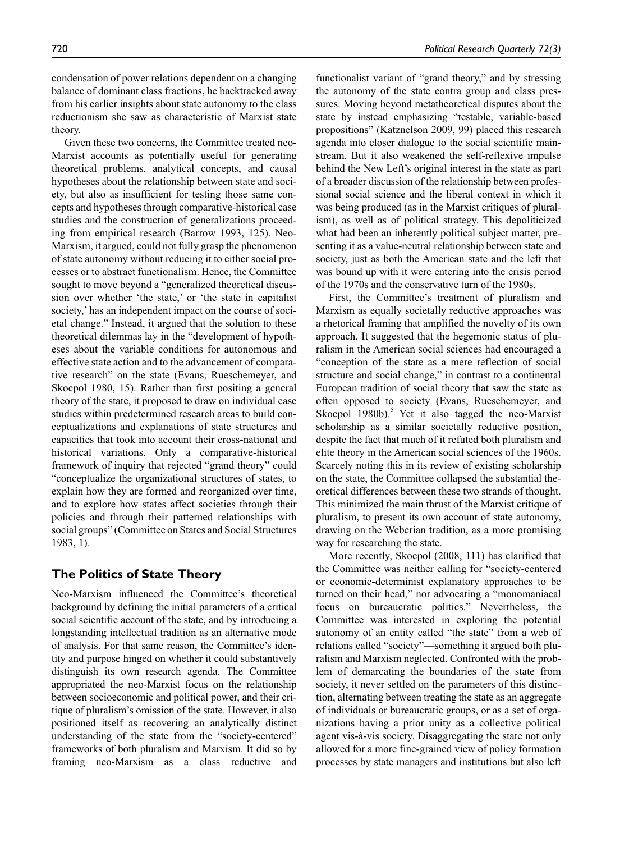condensation of power relations dependent on a changing balance of dominant class fractions, he backtracked away from his earlier insights about state autonomy to the class reductionism she saw as characteristic of Marxist state theory.

Given these two concerns, the Committee treated neo-Marxist accounts as potentially useful for generating theoretical problems, analytical concepts, and causal hypotheses about the relationship between state and society, but also as insufficient for testing those same concepts and hypotheses through comparative-historical case studies and the construction of generalizations proceeding from empirical research (Barrow 1993, 125). Neo-Marxism, it argued, could not fully grasp the phenomenon of state autonomy without reducing it to either social processes or to abstract functionalism. Hence, the Committee sought to move beyond a "generalized theoretical discussion over whether 'the state,' or 'the state in capitalist society,' has an independent impact on the course of societal change." Instead, it argued that the solution to these theoretical dilemmas lay in the "development of hypotheses about the variable conditions for autonomous and effective state action and to the advancement of comparative research" on the state (Evans, Rueschemeyer, and Skocpol 1980, 15). Rather than first positing a general theory of the state, it proposed to draw on individual case studies within predetermined research areas to build conceptualizations and explanations of state structures and capacities that took into account their cross-national and historical variations. Only a comparative-historical framework of inquiry that rejected "grand theory" could "conceptualize the organizational structures of states, to explain how they are formed and reorganized over time, and to explore how states affect societies through their policies and through their patterned relationships with social groups" (Committee on States and Social Structures 1983, 1).

## **The Politics of State Theory**

Neo-Marxism influenced the Committee's theoretical background by defining the initial parameters of a critical social scientific account of the state, and by introducing a longstanding intellectual tradition as an alternative mode of analysis. For that same reason, the Committee's identity and purpose hinged on whether it could substantively distinguish its own research agenda. The Committee appropriated the neo-Marxist focus on the relationship between socioeconomic and political power, and their critique of pluralism's omission of the state. However, it also positioned itself as recovering an analytically distinct understanding of the state from the "society-centered" frameworks of both pluralism and Marxism. It did so by framing neo-Marxism as a class reductive and functionalist variant of "grand theory," and by stressing the autonomy of the state contra group and class pressures. Moving beyond metatheoretical disputes about the state by instead emphasizing "testable, variable-based propositions" (Katznelson 2009, 99) placed this research agenda into closer dialogue to the social scientific mainstream. But it also weakened the self-reflexive impulse behind the New Left's original interest in the state as part of a broader discussion of the relationship between professional social science and the liberal context in which it was being produced (as in the Marxist critiques of pluralism), as well as of political strategy. This depoliticized what had been an inherently political subject matter, presenting it as a value-neutral relationship between state and society, just as both the American state and the left that was bound up with it were entering into the crisis period of the 1970s and the conservative turn of the 1980s.

First, the Committee's treatment of pluralism and Marxism as equally societally reductive approaches was a rhetorical framing that amplified the novelty of its own approach. It suggested that the hegemonic status of pluralism in the American social sciences had encouraged a "conception of the state as a mere reflection of social structure and social change," in contrast to a continental European tradition of social theory that saw the state as often opposed to society (Evans, Rueschemeyer, and Skocpol 1980b). $5$  Yet it also tagged the neo-Marxist scholarship as a similar societally reductive position, despite the fact that much of it refuted both pluralism and elite theory in the American social sciences of the 1960s. Scarcely noting this in its review of existing scholarship on the state, the Committee collapsed the substantial theoretical differences between these two strands of thought. This minimized the main thrust of the Marxist critique of pluralism, to present its own account of state autonomy, drawing on the Weberian tradition, as a more promising way for researching the state.

More recently, Skocpol (2008, 111) has clarified that the Committee was neither calling for "society-centered or economic-determinist explanatory approaches to be turned on their head," nor advocating a "monomaniacal focus on bureaucratic politics." Nevertheless, the Committee was interested in exploring the potential autonomy of an entity called "the state" from a web of relations called "society"—something it argued both pluralism and Marxism neglected. Confronted with the problem of demarcating the boundaries of the state from society, it never settled on the parameters of this distinction, alternating between treating the state as an aggregate of individuals or bureaucratic groups, or as a set of organizations having a prior unity as a collective political agent vis-à-vis society. Disaggregating the state not only allowed for a more fine-grained view of policy formation processes by state managers and institutions but also left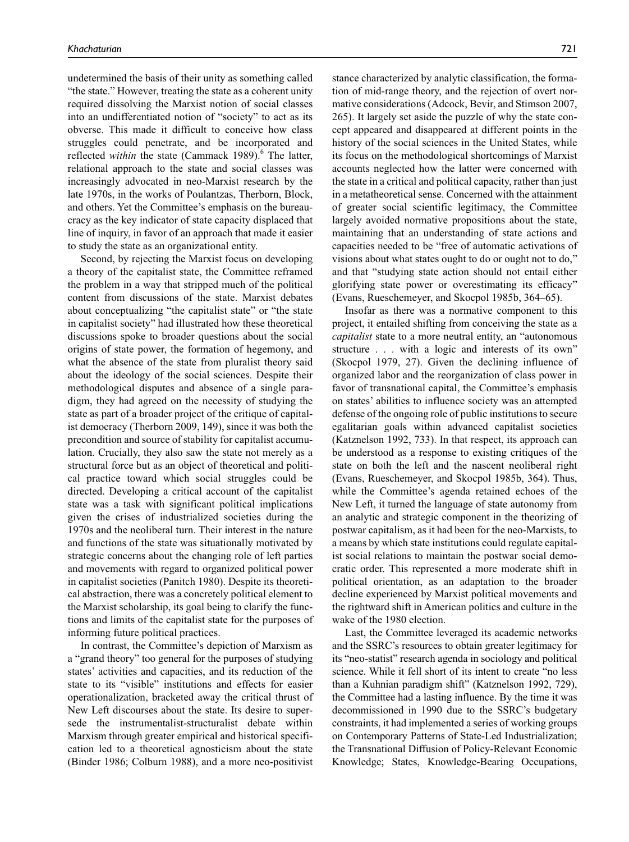undetermined the basis of their unity as something called "the state." However, treating the state as a coherent unity required dissolving the Marxist notion of social classes into an undifferentiated notion of "society" to act as its obverse. This made it difficult to conceive how class struggles could penetrate, and be incorporated and reflected *within* the state (Cammack 1989).<sup>6</sup> The latter, relational approach to the state and social classes was increasingly advocated in neo-Marxist research by the late 1970s, in the works of Poulantzas, Therborn, Block, and others. Yet the Committee's emphasis on the bureaucracy as the key indicator of state capacity displaced that line of inquiry, in favor of an approach that made it easier to study the state as an organizational entity.

Second, by rejecting the Marxist focus on developing a theory of the capitalist state, the Committee reframed the problem in a way that stripped much of the political content from discussions of the state. Marxist debates about conceptualizing "the capitalist state" or "the state in capitalist society" had illustrated how these theoretical discussions spoke to broader questions about the social origins of state power, the formation of hegemony, and what the absence of the state from pluralist theory said about the ideology of the social sciences. Despite their methodological disputes and absence of a single paradigm, they had agreed on the necessity of studying the state as part of a broader project of the critique of capitalist democracy (Therborn 2009, 149), since it was both the precondition and source of stability for capitalist accumulation. Crucially, they also saw the state not merely as a structural force but as an object of theoretical and political practice toward which social struggles could be directed. Developing a critical account of the capitalist state was a task with significant political implications given the crises of industrialized societies during the 1970s and the neoliberal turn. Their interest in the nature and functions of the state was situationally motivated by strategic concerns about the changing role of left parties and movements with regard to organized political power in capitalist societies (Panitch 1980). Despite its theoretical abstraction, there was a concretely political element to the Marxist scholarship, its goal being to clarify the functions and limits of the capitalist state for the purposes of informing future political practices.

In contrast, the Committee's depiction of Marxism as a "grand theory" too general for the purposes of studying states' activities and capacities, and its reduction of the state to its "visible" institutions and effects for easier operationalization, bracketed away the critical thrust of New Left discourses about the state. Its desire to supersede the instrumentalist-structuralist debate within Marxism through greater empirical and historical specification led to a theoretical agnosticism about the state (Binder 1986; Colburn 1988), and a more neo-positivist

stance characterized by analytic classification, the formation of mid-range theory, and the rejection of overt normative considerations (Adcock, Bevir, and Stimson 2007, 265). It largely set aside the puzzle of why the state concept appeared and disappeared at different points in the history of the social sciences in the United States, while its focus on the methodological shortcomings of Marxist accounts neglected how the latter were concerned with the state in a critical and political capacity, rather than just in a metatheoretical sense. Concerned with the attainment of greater social scientific legitimacy, the Committee largely avoided normative propositions about the state, maintaining that an understanding of state actions and capacities needed to be "free of automatic activations of visions about what states ought to do or ought not to do," and that "studying state action should not entail either glorifying state power or overestimating its efficacy" (Evans, Rueschemeyer, and Skocpol 1985b, 364–65).

Insofar as there was a normative component to this project, it entailed shifting from conceiving the state as a *capitalist* state to a more neutral entity, an "autonomous structure . . . with a logic and interests of its own" (Skocpol 1979, 27). Given the declining influence of organized labor and the reorganization of class power in favor of transnational capital, the Committee's emphasis on states' abilities to influence society was an attempted defense of the ongoing role of public institutions to secure egalitarian goals within advanced capitalist societies (Katznelson 1992, 733). In that respect, its approach can be understood as a response to existing critiques of the state on both the left and the nascent neoliberal right (Evans, Rueschemeyer, and Skocpol 1985b, 364). Thus, while the Committee's agenda retained echoes of the New Left, it turned the language of state autonomy from an analytic and strategic component in the theorizing of postwar capitalism, as it had been for the neo-Marxists, to a means by which state institutions could regulate capitalist social relations to maintain the postwar social democratic order. This represented a more moderate shift in political orientation, as an adaptation to the broader decline experienced by Marxist political movements and the rightward shift in American politics and culture in the wake of the 1980 election.

Last, the Committee leveraged its academic networks and the SSRC's resources to obtain greater legitimacy for its "neo-statist" research agenda in sociology and political science. While it fell short of its intent to create "no less than a Kuhnian paradigm shift" (Katznelson 1992, 729), the Committee had a lasting influence. By the time it was decommissioned in 1990 due to the SSRC's budgetary constraints, it had implemented a series of working groups on Contemporary Patterns of State-Led Industrialization; the Transnational Diffusion of Policy-Relevant Economic Knowledge; States, Knowledge-Bearing Occupations,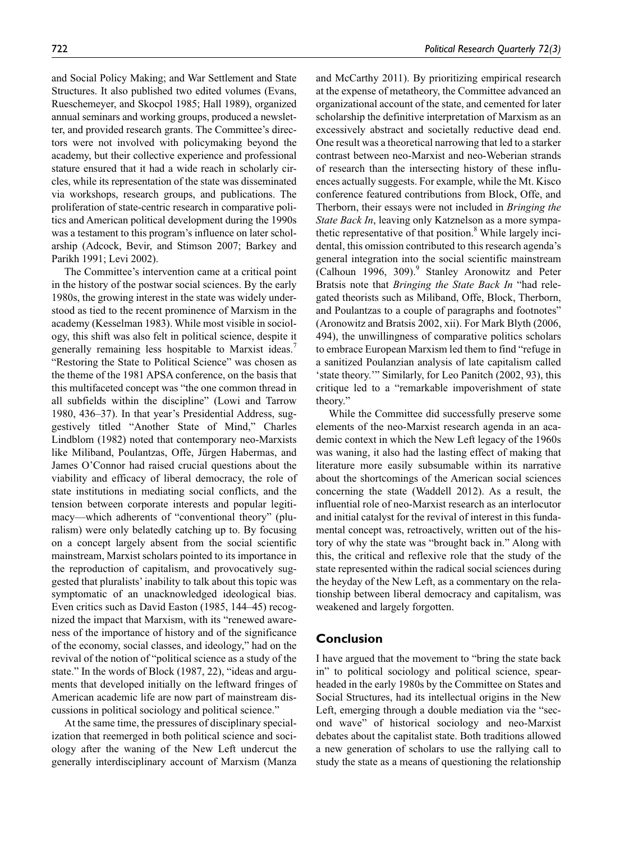and Social Policy Making; and War Settlement and State Structures. It also published two edited volumes (Evans, Rueschemeyer, and Skocpol 1985; Hall 1989), organized annual seminars and working groups, produced a newsletter, and provided research grants. The Committee's directors were not involved with policymaking beyond the academy, but their collective experience and professional stature ensured that it had a wide reach in scholarly circles, while its representation of the state was disseminated via workshops, research groups, and publications. The proliferation of state-centric research in comparative politics and American political development during the 1990s was a testament to this program's influence on later scholarship (Adcock, Bevir, and Stimson 2007; Barkey and Parikh 1991; Levi 2002).

The Committee's intervention came at a critical point in the history of the postwar social sciences. By the early 1980s, the growing interest in the state was widely understood as tied to the recent prominence of Marxism in the academy (Kesselman 1983). While most visible in sociology, this shift was also felt in political science, despite it generally remaining less hospitable to Marxist ideas.<sup>7</sup> "Restoring the State to Political Science" was chosen as the theme of the 1981 APSA conference, on the basis that this multifaceted concept was "the one common thread in all subfields within the discipline" (Lowi and Tarrow 1980, 436–37). In that year's Presidential Address, suggestively titled "Another State of Mind," Charles Lindblom (1982) noted that contemporary neo-Marxists like Miliband, Poulantzas, Offe, Jürgen Habermas, and James O'Connor had raised crucial questions about the viability and efficacy of liberal democracy, the role of state institutions in mediating social conflicts, and the tension between corporate interests and popular legitimacy—which adherents of "conventional theory" (pluralism) were only belatedly catching up to. By focusing on a concept largely absent from the social scientific mainstream, Marxist scholars pointed to its importance in the reproduction of capitalism, and provocatively suggested that pluralists' inability to talk about this topic was symptomatic of an unacknowledged ideological bias. Even critics such as David Easton (1985, 144–45) recognized the impact that Marxism, with its "renewed awareness of the importance of history and of the significance of the economy, social classes, and ideology," had on the revival of the notion of "political science as a study of the state." In the words of Block (1987, 22), "ideas and arguments that developed initially on the leftward fringes of American academic life are now part of mainstream discussions in political sociology and political science."

At the same time, the pressures of disciplinary specialization that reemerged in both political science and sociology after the waning of the New Left undercut the generally interdisciplinary account of Marxism (Manza

and McCarthy 2011). By prioritizing empirical research at the expense of metatheory, the Committee advanced an organizational account of the state, and cemented for later scholarship the definitive interpretation of Marxism as an excessively abstract and societally reductive dead end. One result was a theoretical narrowing that led to a starker contrast between neo-Marxist and neo-Weberian strands of research than the intersecting history of these influences actually suggests. For example, while the Mt. Kisco conference featured contributions from Block, Offe, and Therborn, their essays were not included in *Bringing the State Back In*, leaving only Katznelson as a more sympathetic representative of that position.<sup>8</sup> While largely incidental, this omission contributed to this research agenda's general integration into the social scientific mainstream (Calhoun 1996, 309).<sup>9</sup> Stanley Aronowitz and Peter Bratsis note that *Bringing the State Back In* "had relegated theorists such as Miliband, Offe, Block, Therborn, and Poulantzas to a couple of paragraphs and footnotes" (Aronowitz and Bratsis 2002, xii). For Mark Blyth (2006, 494), the unwillingness of comparative politics scholars to embrace European Marxism led them to find "refuge in a sanitized Poulanzian analysis of late capitalism called 'state theory.'" Similarly, for Leo Panitch (2002, 93), this critique led to a "remarkable impoverishment of state theory."

While the Committee did successfully preserve some elements of the neo-Marxist research agenda in an academic context in which the New Left legacy of the 1960s was waning, it also had the lasting effect of making that literature more easily subsumable within its narrative about the shortcomings of the American social sciences concerning the state (Waddell 2012). As a result, the influential role of neo-Marxist research as an interlocutor and initial catalyst for the revival of interest in this fundamental concept was, retroactively, written out of the history of why the state was "brought back in." Along with this, the critical and reflexive role that the study of the state represented within the radical social sciences during the heyday of the New Left, as a commentary on the relationship between liberal democracy and capitalism, was weakened and largely forgotten.

## **Conclusion**

I have argued that the movement to "bring the state back in" to political sociology and political science, spearheaded in the early 1980s by the Committee on States and Social Structures, had its intellectual origins in the New Left, emerging through a double mediation via the "second wave" of historical sociology and neo-Marxist debates about the capitalist state. Both traditions allowed a new generation of scholars to use the rallying call to study the state as a means of questioning the relationship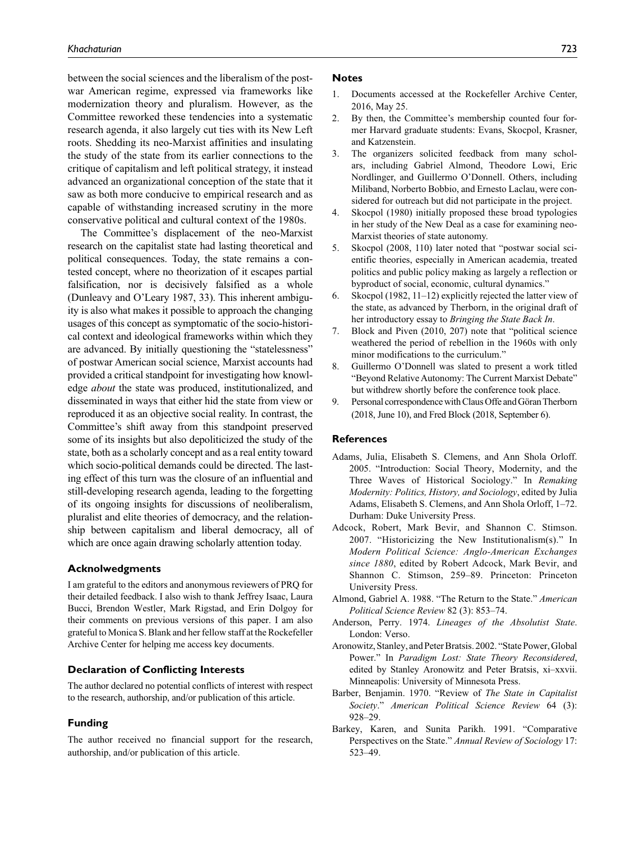between the social sciences and the liberalism of the postwar American regime, expressed via frameworks like modernization theory and pluralism. However, as the Committee reworked these tendencies into a systematic research agenda, it also largely cut ties with its New Left roots. Shedding its neo-Marxist affinities and insulating the study of the state from its earlier connections to the critique of capitalism and left political strategy, it instead advanced an organizational conception of the state that it saw as both more conducive to empirical research and as capable of withstanding increased scrutiny in the more conservative political and cultural context of the 1980s.

The Committee's displacement of the neo-Marxist research on the capitalist state had lasting theoretical and political consequences. Today, the state remains a contested concept, where no theorization of it escapes partial falsification, nor is decisively falsified as a whole (Dunleavy and O'Leary 1987, 33). This inherent ambiguity is also what makes it possible to approach the changing usages of this concept as symptomatic of the socio-historical context and ideological frameworks within which they are advanced. By initially questioning the "statelessness" of postwar American social science, Marxist accounts had provided a critical standpoint for investigating how knowledge *about* the state was produced, institutionalized, and disseminated in ways that either hid the state from view or reproduced it as an objective social reality. In contrast, the Committee's shift away from this standpoint preserved some of its insights but also depoliticized the study of the state, both as a scholarly concept and as a real entity toward which socio-political demands could be directed. The lasting effect of this turn was the closure of an influential and still-developing research agenda, leading to the forgetting of its ongoing insights for discussions of neoliberalism, pluralist and elite theories of democracy, and the relationship between capitalism and liberal democracy, all of which are once again drawing scholarly attention today.

#### **Acknolwedgments**

I am grateful to the editors and anonymous reviewers of PRQ for their detailed feedback. I also wish to thank Jeffrey Isaac, Laura Bucci, Brendon Westler, Mark Rigstad, and Erin Dolgoy for their comments on previous versions of this paper. I am also grateful to Monica S. Blank and her fellow staff at the Rockefeller Archive Center for helping me access key documents.

#### **Declaration of Conflicting Interests**

The author declared no potential conflicts of interest with respect to the research, authorship, and/or publication of this article.

## **Funding**

The author received no financial support for the research, authorship, and/or publication of this article.

#### **Notes**

- 1. Documents accessed at the Rockefeller Archive Center, 2016, May 25.
- 2. By then, the Committee's membership counted four former Harvard graduate students: Evans, Skocpol, Krasner, and Katzenstein.
- 3. The organizers solicited feedback from many scholars, including Gabriel Almond, Theodore Lowi, Eric Nordlinger, and Guillermo O'Donnell. Others, including Miliband, Norberto Bobbio, and Ernesto Laclau, were considered for outreach but did not participate in the project.
- 4. Skocpol (1980) initially proposed these broad typologies in her study of the New Deal as a case for examining neo-Marxist theories of state autonomy.
- 5. Skocpol (2008, 110) later noted that "postwar social scientific theories, especially in American academia, treated politics and public policy making as largely a reflection or byproduct of social, economic, cultural dynamics."
- 6. Skocpol (1982, 11–12) explicitly rejected the latter view of the state, as advanced by Therborn, in the original draft of her introductory essay to *Bringing the State Back In*.
- 7. Block and Piven (2010, 207) note that "political science weathered the period of rebellion in the 1960s with only minor modifications to the curriculum."
- 8. Guillermo O'Donnell was slated to present a work titled "Beyond Relative Autonomy: The Current Marxist Debate" but withdrew shortly before the conference took place.
- 9. Personal correspondence with Claus Offe and Göran Therborn (2018, June 10), and Fred Block (2018, September 6).

#### **References**

- Adams, Julia, Elisabeth S. Clemens, and Ann Shola Orloff. 2005. "Introduction: Social Theory, Modernity, and the Three Waves of Historical Sociology." In *Remaking Modernity: Politics, History, and Sociology*, edited by Julia Adams, Elisabeth S. Clemens, and Ann Shola Orloff, 1–72. Durham: Duke University Press.
- Adcock, Robert, Mark Bevir, and Shannon C. Stimson. 2007. "Historicizing the New Institutionalism(s)." In *Modern Political Science: Anglo-American Exchanges since 1880*, edited by Robert Adcock, Mark Bevir, and Shannon C. Stimson, 259–89. Princeton: Princeton University Press.
- Almond, Gabriel A. 1988. "The Return to the State." *American Political Science Review* 82 (3): 853–74.
- Anderson, Perry. 1974. *Lineages of the Absolutist State*. London: Verso.
- Aronowitz, Stanley, and Peter Bratsis. 2002. "State Power, Global Power." In *Paradigm Lost: State Theory Reconsidered*, edited by Stanley Aronowitz and Peter Bratsis, xi–xxvii. Minneapolis: University of Minnesota Press.
- Barber, Benjamin. 1970. "Review of *The State in Capitalist Society*." *American Political Science Review* 64 (3): 928–29.
- Barkey, Karen, and Sunita Parikh. 1991. "Comparative Perspectives on the State." *Annual Review of Sociology* 17: 523–49.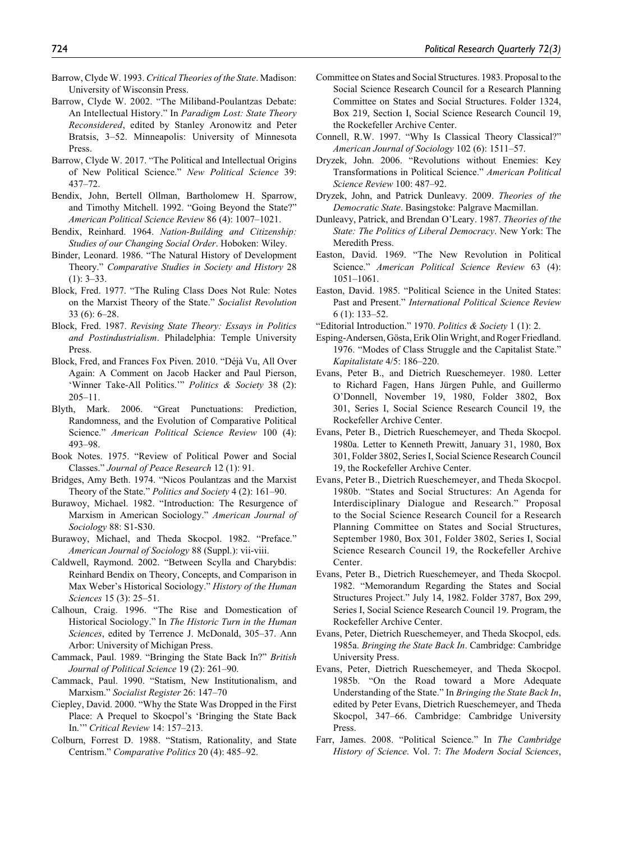- Barrow, Clyde W. 1993. *Critical Theories of the State*. Madison: University of Wisconsin Press.
- Barrow, Clyde W. 2002. "The Miliband-Poulantzas Debate: An Intellectual History." In *Paradigm Lost: State Theory Reconsidered*, edited by Stanley Aronowitz and Peter Bratsis, 3–52. Minneapolis: University of Minnesota Press.
- Barrow, Clyde W. 2017. "The Political and Intellectual Origins of New Political Science." *New Political Science* 39: 437–72.
- Bendix, John, Bertell Ollman, Bartholomew H. Sparrow, and Timothy Mitchell. 1992. "Going Beyond the State?" *American Political Science Review* 86 (4): 1007–1021.
- Bendix, Reinhard. 1964. *Nation-Building and Citizenship: Studies of our Changing Social Order*. Hoboken: Wiley.
- Binder, Leonard. 1986. "The Natural History of Development Theory." *Comparative Studies in Society and History* 28  $(1): 3-33.$
- Block, Fred. 1977. "The Ruling Class Does Not Rule: Notes on the Marxist Theory of the State." *Socialist Revolution* 33 (6): 6–28.
- Block, Fred. 1987. *Revising State Theory: Essays in Politics and Postindustrialism*. Philadelphia: Temple University Press.
- Block, Fred, and Frances Fox Piven. 2010. "Déjà Vu, All Over Again: A Comment on Jacob Hacker and Paul Pierson, 'Winner Take-All Politics.'" *Politics & Society* 38 (2): 205–11.
- Blyth, Mark. 2006. "Great Punctuations: Prediction, Randomness, and the Evolution of Comparative Political Science." *American Political Science Review* 100 (4): 493–98.
- Book Notes. 1975. "Review of Political Power and Social Classes." *Journal of Peace Research* 12 (1): 91.
- Bridges, Amy Beth. 1974. "Nicos Poulantzas and the Marxist Theory of the State." *Politics and Society* 4 (2): 161–90.
- Burawoy, Michael. 1982. "Introduction: The Resurgence of Marxism in American Sociology." *American Journal of Sociology* 88: S1-S30.
- Burawoy, Michael, and Theda Skocpol. 1982. "Preface." *American Journal of Sociology* 88 (Suppl.): vii-viii.
- Caldwell, Raymond. 2002. "Between Scylla and Charybdis: Reinhard Bendix on Theory, Concepts, and Comparison in Max Weber's Historical Sociology." *History of the Human Sciences* 15 (3): 25–51.
- Calhoun, Craig. 1996. "The Rise and Domestication of Historical Sociology." In *The Historic Turn in the Human Sciences*, edited by Terrence J. McDonald, 305–37. Ann Arbor: University of Michigan Press.
- Cammack, Paul. 1989. "Bringing the State Back In?" *British Journal of Political Science* 19 (2): 261–90.
- Cammack, Paul. 1990. "Statism, New Institutionalism, and Marxism." *Socialist Register* 26: 147–70
- Ciepley, David. 2000. "Why the State Was Dropped in the First Place: A Prequel to Skocpol's 'Bringing the State Back In.'" *Critical Review* 14: 157–213.
- Colburn, Forrest D. 1988. "Statism, Rationality, and State Centrism." *Comparative Politics* 20 (4): 485–92.
- Committee on States and Social Structures. 1983. Proposal to the Social Science Research Council for a Research Planning Committee on States and Social Structures. Folder 1324, Box 219, Section I, Social Science Research Council 19, the Rockefeller Archive Center.
- Connell, R.W. 1997. "Why Is Classical Theory Classical?" *American Journal of Sociology* 102 (6): 1511–57.
- Dryzek, John. 2006. "Revolutions without Enemies: Key Transformations in Political Science." *American Political Science Review* 100: 487–92.
- Dryzek, John, and Patrick Dunleavy. 2009. *Theories of the Democratic State*. Basingstoke: Palgrave Macmillan.
- Dunleavy, Patrick, and Brendan O'Leary. 1987. *Theories of the State: The Politics of Liberal Democracy*. New York: The Meredith Press.
- Easton, David. 1969. "The New Revolution in Political Science." *American Political Science Review* 63 (4): 1051–1061.
- Easton, David. 1985. "Political Science in the United States: Past and Present." *International Political Science Review* 6 (1): 133–52.
- "Editorial Introduction." 1970. *Politics & Society* 1 (1): 2.
- Esping-Andersen, Gösta, Erik Olin Wright, and Roger Friedland. 1976. "Modes of Class Struggle and the Capitalist State." *Kapitalistate* 4/5: 186–220.
- Evans, Peter B., and Dietrich Rueschemeyer. 1980. Letter to Richard Fagen, Hans Jürgen Puhle, and Guillermo O'Donnell, November 19, 1980, Folder 3802, Box 301, Series I, Social Science Research Council 19, the Rockefeller Archive Center.
- Evans, Peter B., Dietrich Rueschemeyer, and Theda Skocpol. 1980a. Letter to Kenneth Prewitt, January 31, 1980, Box 301, Folder 3802, Series I, Social Science Research Council 19, the Rockefeller Archive Center.
- Evans, Peter B., Dietrich Rueschemeyer, and Theda Skocpol. 1980b. "States and Social Structures: An Agenda for Interdisciplinary Dialogue and Research." Proposal to the Social Science Research Council for a Research Planning Committee on States and Social Structures, September 1980, Box 301, Folder 3802, Series I, Social Science Research Council 19, the Rockefeller Archive Center.
- Evans, Peter B., Dietrich Rueschemeyer, and Theda Skocpol. 1982. "Memorandum Regarding the States and Social Structures Project." July 14, 1982. Folder 3787, Box 299, Series I, Social Science Research Council 19. Program, the Rockefeller Archive Center.
- Evans, Peter, Dietrich Rueschemeyer, and Theda Skocpol, eds. 1985a. *Bringing the State Back In*. Cambridge: Cambridge University Press.
- Evans, Peter, Dietrich Rueschemeyer, and Theda Skocpol. 1985b. "On the Road toward a More Adequate Understanding of the State." In *Bringing the State Back In*, edited by Peter Evans, Dietrich Rueschemeyer, and Theda Skocpol, 347–66. Cambridge: Cambridge University Press.
- Farr, James. 2008. "Political Science." In *The Cambridge History of Science*. Vol. 7: *The Modern Social Sciences*,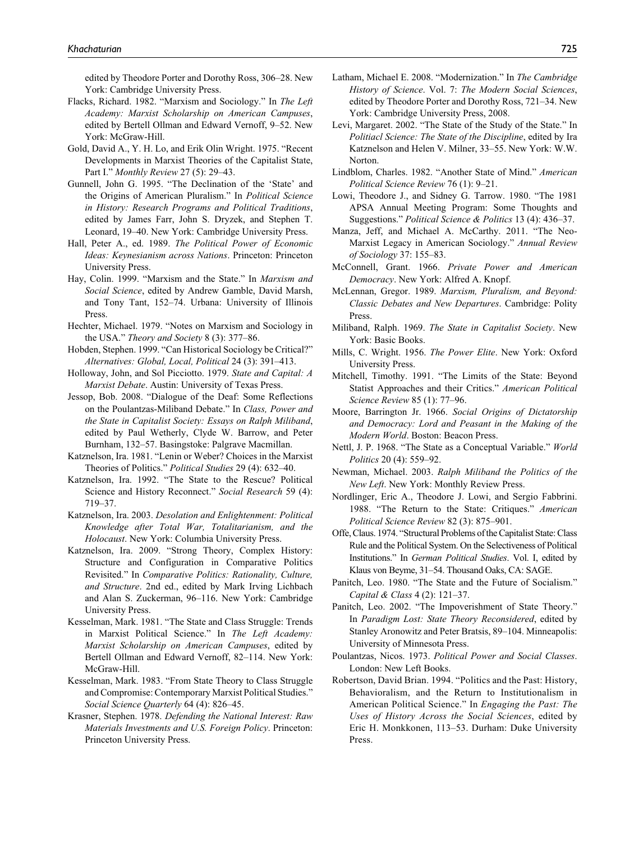edited by Theodore Porter and Dorothy Ross, 306–28. New York: Cambridge University Press.

- Flacks, Richard. 1982. "Marxism and Sociology." In *The Left Academy: Marxist Scholarship on American Campuses*, edited by Bertell Ollman and Edward Vernoff, 9–52. New York: McGraw-Hill.
- Gold, David A., Y. H. Lo, and Erik Olin Wright. 1975. "Recent Developments in Marxist Theories of the Capitalist State, Part I." *Monthly Review* 27 (5): 29–43.
- Gunnell, John G. 1995. "The Declination of the 'State' and the Origins of American Pluralism." In *Political Science in History: Research Programs and Political Traditions*, edited by James Farr, John S. Dryzek, and Stephen T. Leonard, 19–40. New York: Cambridge University Press.
- Hall, Peter A., ed. 1989. *The Political Power of Economic Ideas: Keynesianism across Nations*. Princeton: Princeton University Press.
- Hay, Colin. 1999. "Marxism and the State." In *Marxism and Social Science*, edited by Andrew Gamble, David Marsh, and Tony Tant, 152–74. Urbana: University of Illinois Press.
- Hechter, Michael. 1979. "Notes on Marxism and Sociology in the USA." *Theory and Society* 8 (3): 377–86.
- Hobden, Stephen. 1999. "Can Historical Sociology be Critical?" *Alternatives: Global, Local, Political* 24 (3): 391–413.
- Holloway, John, and Sol Picciotto. 1979. *State and Capital: A Marxist Debate*. Austin: University of Texas Press.
- Jessop, Bob. 2008. "Dialogue of the Deaf: Some Reflections on the Poulantzas-Miliband Debate." In *Class, Power and the State in Capitalist Society: Essays on Ralph Miliband*, edited by Paul Wetherly, Clyde W. Barrow, and Peter Burnham, 132–57. Basingstoke: Palgrave Macmillan.
- Katznelson, Ira. 1981. "Lenin or Weber? Choices in the Marxist Theories of Politics." *Political Studies* 29 (4): 632–40.
- Katznelson, Ira. 1992. "The State to the Rescue? Political Science and History Reconnect." *Social Research* 59 (4): 719–37.
- Katznelson, Ira. 2003. *Desolation and Enlightenment: Political Knowledge after Total War, Totalitarianism, and the Holocaust*. New York: Columbia University Press.
- Katznelson, Ira. 2009. "Strong Theory, Complex History: Structure and Configuration in Comparative Politics Revisited." In *Comparative Politics: Rationality, Culture, and Structure*. 2nd ed., edited by Mark Irving Lichbach and Alan S. Zuckerman, 96–116. New York: Cambridge University Press.
- Kesselman, Mark. 1981. "The State and Class Struggle: Trends in Marxist Political Science." In *The Left Academy: Marxist Scholarship on American Campuses*, edited by Bertell Ollman and Edward Vernoff, 82–114. New York: McGraw-Hill.
- Kesselman, Mark. 1983. "From State Theory to Class Struggle and Compromise: Contemporary Marxist Political Studies." *Social Science Quarterly* 64 (4): 826–45.
- Krasner, Stephen. 1978. *Defending the National Interest: Raw Materials Investments and U.S. Foreign Policy*. Princeton: Princeton University Press.
- Latham, Michael E. 2008. "Modernization." In *The Cambridge History of Science*. Vol. 7: *The Modern Social Sciences*, edited by Theodore Porter and Dorothy Ross, 721–34. New York: Cambridge University Press, 2008.
- Levi, Margaret. 2002. "The State of the Study of the State." In *Politiacl Science: The State of the Discipline*, edited by Ira Katznelson and Helen V. Milner, 33–55. New York: W.W. Norton.
- Lindblom, Charles. 1982. "Another State of Mind." *American Political Science Review* 76 (1): 9–21.
- Lowi, Theodore J., and Sidney G. Tarrow. 1980. "The 1981 APSA Annual Meeting Program: Some Thoughts and Suggestions." *Political Science & Politics* 13 (4): 436–37.
- Manza, Jeff, and Michael A. McCarthy. 2011. "The Neo-Marxist Legacy in American Sociology." *Annual Review of Sociology* 37: 155–83.
- McConnell, Grant. 1966. *Private Power and American Democracy*. New York: Alfred A. Knopf.
- McLennan, Gregor. 1989. *Marxism, Pluralism, and Beyond: Classic Debates and New Departures*. Cambridge: Polity Press.
- Miliband, Ralph. 1969. *The State in Capitalist Society*. New York: Basic Books.
- Mills, C. Wright. 1956. *The Power Elite*. New York: Oxford University Press.
- Mitchell, Timothy. 1991. "The Limits of the State: Beyond Statist Approaches and their Critics." *American Political Science Review* 85 (1): 77–96.
- Moore, Barrington Jr. 1966. *Social Origins of Dictatorship and Democracy: Lord and Peasant in the Making of the Modern World*. Boston: Beacon Press.
- Nettl, J. P. 1968. "The State as a Conceptual Variable." *World Politics* 20 (4): 559–92.
- Newman, Michael. 2003. *Ralph Miliband the Politics of the New Left*. New York: Monthly Review Press.
- Nordlinger, Eric A., Theodore J. Lowi, and Sergio Fabbrini. 1988. "The Return to the State: Critiques." *American Political Science Review* 82 (3): 875–901.
- Offe, Claus. 1974. "Structural Problems of the Capitalist State: Class Rule and the Political System. On the Selectiveness of Political Institutions." In *German Political Studies*. Vol. I, edited by Klaus von Beyme, 31–54. Thousand Oaks, CA: SAGE.
- Panitch, Leo. 1980. "The State and the Future of Socialism." *Capital & Class* 4 (2): 121–37.
- Panitch, Leo. 2002. "The Impoverishment of State Theory." In *Paradigm Lost: State Theory Reconsidered*, edited by Stanley Aronowitz and Peter Bratsis, 89–104. Minneapolis: University of Minnesota Press.
- Poulantzas, Nicos. 1973. *Political Power and Social Classes*. London: New Left Books.
- Robertson, David Brian. 1994. "Politics and the Past: History, Behavioralism, and the Return to Institutionalism in American Political Science." In *Engaging the Past: The Uses of History Across the Social Sciences*, edited by Eric H. Monkkonen, 113–53. Durham: Duke University Press.